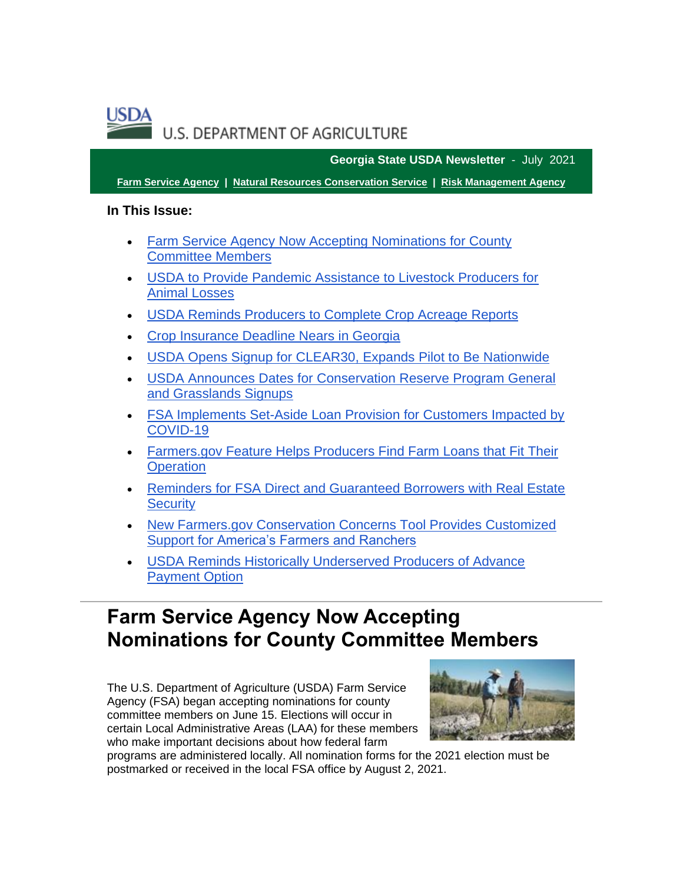

**Georgia State USDA Newsletter** - July 2021

**[Farm Service Agency](https://gcc02.safelinks.protection.outlook.com/?url=https%3A%2F%2Ffsa.usda.gov%2F%3Futm_medium%3Demail%26utm_source%3Dgovdelivery&data=04%7C01%7C%7Cb76634d001324a9a128b08d94633b28b%7Ced5b36e701ee4ebc867ee03cfa0d4697%7C0%7C1%7C637618010124824139%7CUnknown%7CTWFpbGZsb3d8eyJWIjoiMC4wLjAwMDAiLCJQIjoiV2luMzIiLCJBTiI6Ik1haWwiLCJXVCI6Mn0%3D%7C2000&sdata=DpSeFAv0WLBVsUQaIbxfkjfknXjY4HHO%2Fp3bzL5L6NE%3D&reserved=0) | [Natural Resources Conservation Service](https://gcc02.safelinks.protection.outlook.com/?url=https%3A%2F%2Fwww.nrcs.usda.gov%2Fwps%2Fportal%2Fnrcs%2Fsite%2Fnational%2Fhome%2F%3Futm_medium%3Demail%26utm_source%3Dgovdelivery&data=04%7C01%7C%7Cb76634d001324a9a128b08d94633b28b%7Ced5b36e701ee4ebc867ee03cfa0d4697%7C0%7C1%7C637618010124834096%7CUnknown%7CTWFpbGZsb3d8eyJWIjoiMC4wLjAwMDAiLCJQIjoiV2luMzIiLCJBTiI6Ik1haWwiLCJXVCI6Mn0%3D%7C2000&sdata=xtbsc%2B4pUFaUvQ7utlc0YKtmbIbT6x7Xn%2FGTr6d8Z60%3D&reserved=0) | [Risk Management Agency](https://gcc02.safelinks.protection.outlook.com/?url=https%3A%2F%2Frma.usda.gov%2F%3Futm_medium%3Demail%26utm_source%3Dgovdelivery&data=04%7C01%7C%7Cb76634d001324a9a128b08d94633b28b%7Ced5b36e701ee4ebc867ee03cfa0d4697%7C0%7C1%7C637618010124844054%7CUnknown%7CTWFpbGZsb3d8eyJWIjoiMC4wLjAwMDAiLCJQIjoiV2luMzIiLCJBTiI6Ik1haWwiLCJXVCI6Mn0%3D%7C2000&sdata=LZbZePvzkGUUHLPn50ERsvvisg5cOFSyTMGw8MC4JSQ%3D&reserved=0)**

### **In This Issue:**

- [Farm Service Agency Now Accepting Nominations for County](#page-0-0)  [Committee Members](#page-0-0)
- [USDA to Provide Pandemic Assistance to Livestock Producers for](#page-2-0)  [Animal Losses](#page-2-0)
- USDA Reminds Producers to Complete Crop Acreage Reports
- [Crop Insurance Deadline Nears in Georgia](#page-4-0)
- [USDA Opens Signup for CLEAR30, Expands Pilot to Be Nationwide](#page-4-1)
- [USDA Announces Dates for Conservation Reserve Program General](#page-6-0)  [and Grasslands Signups](#page-6-0)
- [FSA Implements Set-Aside Loan Provision for Customers Impacted by](#page-7-0)  [COVID-19](#page-7-0)
- [Farmers.gov Feature Helps Producers Find Farm Loans that Fit Their](#page-8-0)  **[Operation](#page-8-0)**
- [Reminders for FSA Direct and Guaranteed Borrowers with Real Estate](#page-9-0)  **[Security](#page-9-0)**
- [New Farmers.gov Conservation Concerns Tool Provides Customized](#page-9-1)  [Support for America's Farmers and Ranchers](#page-9-1)
- [USDA Reminds Historically Underserved Producers of Advance](#page-10-0)  [Payment Option](#page-10-0)

# <span id="page-0-0"></span>**Farm Service Agency Now Accepting Nominations for County Committee Members**

The U.S. Department of Agriculture (USDA) Farm Service Agency (FSA) began accepting nominations for county committee members on June 15. Elections will occur in certain Local Administrative Areas (LAA) for these members who make important decisions about how federal farm



programs are administered locally. All nomination forms for the 2021 election must be postmarked or received in the local FSA office by August 2, 2021.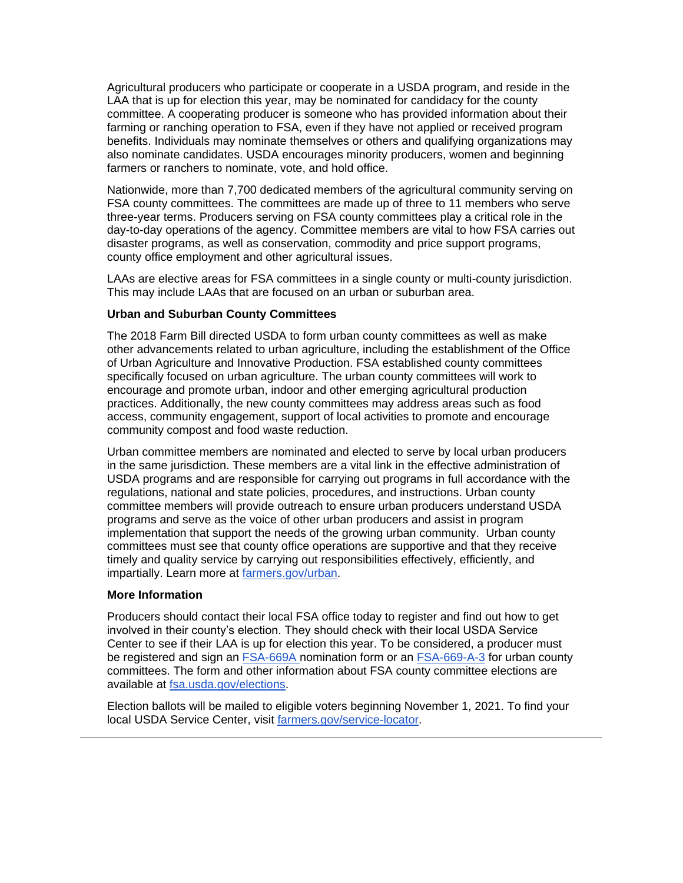Agricultural producers who participate or cooperate in a USDA program, and reside in the LAA that is up for election this year, may be nominated for candidacy for the county committee. A cooperating producer is someone who has provided information about their farming or ranching operation to FSA, even if they have not applied or received program benefits. Individuals may nominate themselves or others and qualifying organizations may also nominate candidates. USDA encourages minority producers, women and beginning farmers or ranchers to nominate, vote, and hold office.

Nationwide, more than 7,700 dedicated members of the agricultural community serving on FSA county committees. The committees are made up of three to 11 members who serve three-year terms. Producers serving on FSA county committees play a critical role in the day-to-day operations of the agency. Committee members are vital to how FSA carries out disaster programs, as well as conservation, commodity and price support programs, county office employment and other agricultural issues.

LAAs are elective areas for FSA committees in a single county or multi-county jurisdiction. This may include LAAs that are focused on an urban or suburban area.

#### **Urban and Suburban County Committees**

The 2018 Farm Bill directed USDA to form urban county committees as well as make other advancements related to urban agriculture, including the establishment of the Office of Urban Agriculture and Innovative Production. FSA established county committees specifically focused on urban agriculture. The urban county committees will work to encourage and promote urban, indoor and other emerging agricultural production practices. Additionally, the new county committees may address areas such as food access, community engagement, support of local activities to promote and encourage community compost and food waste reduction.

Urban committee members are nominated and elected to serve by local urban producers in the same jurisdiction. These members are a vital link in the effective administration of USDA programs and are responsible for carrying out programs in full accordance with the regulations, national and state policies, procedures, and instructions. Urban county committee members will provide outreach to ensure urban producers understand USDA programs and serve as the voice of other urban producers and assist in program implementation that support the needs of the growing urban community. Urban county committees must see that county office operations are supportive and that they receive timely and quality service by carrying out responsibilities effectively, efficiently, and impartially. Learn more at [farmers.gov/urban.](http://www.farmers.gov/urban?utm_medium=email&utm_source=govdelivery)

#### **More Information**

Producers should contact their local FSA office today to register and find out how to get involved in their county's election. They should check with their local USDA Service Center to see if their LAA is up for election this year. To be considered, a producer must be registered and sign an [FSA-669A](https://gcc02.safelinks.protection.outlook.com/?data=04%7C01%7C%7Cf1c62335001d41c6004708d9453b482d%7Ced5b36e701ee4ebc867ee03cfa0d4697%7C0%7C0%7C637616943632192982%7CUnknown%7CTWFpbGZsb3d8eyJWIjoiMC4wLjAwMDAiLCJQIjoiV2luMzIiLCJBTiI6Ik1haWwiLCJXVCI6Mn0%3D%7C1000&reserved=0&sdata=V8HjSAK3XLMS4SDqAJ2PODqSPh9Bkrjw459nsIFxU%2BU%3D&url=https%3A%2F%2Fwww.fsa.usda.gov%2FAssets%2FUSDA-FSA-Public%2Fusdafiles%2FNewsRoom%2FCounty-Committee-Elections%2Fpdf%2Fnomination-forms%2F2021_FSA0669AEnglish_210329V01.pdf%3Futm_medium%3Demail%26utm_source%3Dgovdelivery&utm_medium=email&utm_source=govdelivery) nomination form or an [FSA-669-A-3](https://gcc02.safelinks.protection.outlook.com/?data=04%7C01%7C%7Cf1c62335001d41c6004708d9453b482d%7Ced5b36e701ee4ebc867ee03cfa0d4697%7C0%7C0%7C637616943632192982%7CUnknown%7CTWFpbGZsb3d8eyJWIjoiMC4wLjAwMDAiLCJQIjoiV2luMzIiLCJBTiI6Ik1haWwiLCJXVCI6Mn0%3D%7C1000&reserved=0&sdata=st4IrGfKfaDpIbMsqL0KFcseKxzalOP1nBiSZckgOKw%3D&url=https%3A%2F%2Fwww.fsa.usda.gov%2FAssets%2FUSDA-FSA-Public%2Fusdafiles%2FNewsRoom%2FCounty-Committee-Elections%2Fpdf%2Fnomination-forms%2F2021_FSA0669A-3_210603V01.pdf%3Futm_medium%3Demail%26utm_source%3Dgovdelivery&utm_medium=email&utm_source=govdelivery) for urban county committees. The form and other information about FSA county committee elections are available at [fsa.usda.gov/elections.](https://gcc02.safelinks.protection.outlook.com/?data=04%7C01%7C%7Cf1c62335001d41c6004708d9453b482d%7Ced5b36e701ee4ebc867ee03cfa0d4697%7C0%7C0%7C637616943632202942%7CUnknown%7CTWFpbGZsb3d8eyJWIjoiMC4wLjAwMDAiLCJQIjoiV2luMzIiLCJBTiI6Ik1haWwiLCJXVCI6Mn0%3D%7C1000&reserved=0&sdata=Si5q05CjVSuQWtfb%2B5Ep1mNhSCZ8BftqOI0Jeao%2BTOQ%3D&url=https%3A%2F%2Fwww.fsa.usda.gov%2Fnews-room%2Fcounty-committee-elections%2Findex%3Futm_medium%3Demail%26utm_source%3Dgovdelivery&utm_medium=email&utm_source=govdelivery)

Election ballots will be mailed to eligible voters beginning November 1, 2021. To find your local USDA Service Center, visit [farmers.gov/service-locator.](http://www.farmers.gov/service-locator?utm_medium=email&utm_source=govdelivery)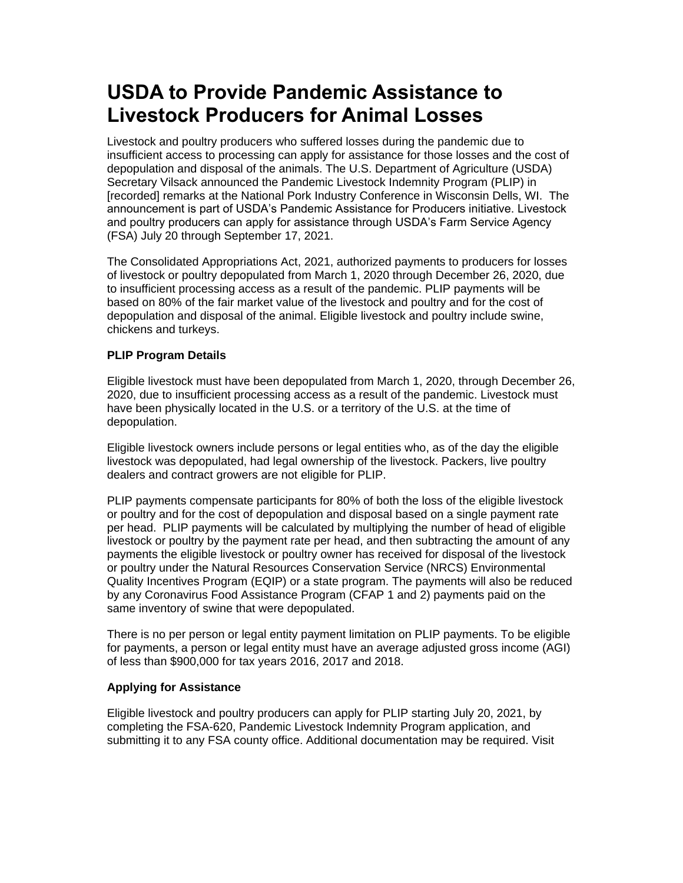# <span id="page-2-0"></span>**USDA to Provide Pandemic Assistance to Livestock Producers for Animal Losses**

Livestock and poultry producers who suffered losses during the pandemic due to insufficient access to processing can apply for assistance for those losses and the cost of depopulation and disposal of the animals. The U.S. Department of Agriculture (USDA) Secretary Vilsack announced the Pandemic Livestock Indemnity Program (PLIP) in [recorded] remarks at the National Pork Industry Conference in Wisconsin Dells, WI. The announcement is part of USDA's Pandemic Assistance for Producers initiative. Livestock and poultry producers can apply for assistance through USDA's Farm Service Agency (FSA) July 20 through September 17, 2021.

The Consolidated Appropriations Act, 2021, authorized payments to producers for losses of livestock or poultry depopulated from March 1, 2020 through December 26, 2020, due to insufficient processing access as a result of the pandemic. PLIP payments will be based on 80% of the fair market value of the livestock and poultry and for the cost of depopulation and disposal of the animal. Eligible livestock and poultry include swine, chickens and turkeys.

### **PLIP Program Details**

Eligible livestock must have been depopulated from March 1, 2020, through December 26, 2020, due to insufficient processing access as a result of the pandemic. Livestock must have been physically located in the U.S. or a territory of the U.S. at the time of depopulation.

Eligible livestock owners include persons or legal entities who, as of the day the eligible livestock was depopulated, had legal ownership of the livestock. Packers, live poultry dealers and contract growers are not eligible for PLIP.

PLIP payments compensate participants for 80% of both the loss of the eligible livestock or poultry and for the cost of depopulation and disposal based on a single payment rate per head. PLIP payments will be calculated by multiplying the number of head of eligible livestock or poultry by the payment rate per head, and then subtracting the amount of any payments the eligible livestock or poultry owner has received for disposal of the livestock or poultry under the Natural Resources Conservation Service (NRCS) Environmental Quality Incentives Program (EQIP) or a state program. The payments will also be reduced by any Coronavirus Food Assistance Program (CFAP 1 and 2) payments paid on the same inventory of swine that were depopulated.

There is no per person or legal entity payment limitation on PLIP payments. To be eligible for payments, a person or legal entity must have an average adjusted gross income (AGI) of less than \$900,000 for tax years 2016, 2017 and 2018.

### **Applying for Assistance**

Eligible livestock and poultry producers can apply for PLIP starting July 20, 2021, by completing the FSA-620, Pandemic Livestock Indemnity Program application, and submitting it to any FSA county office. Additional documentation may be required. Visit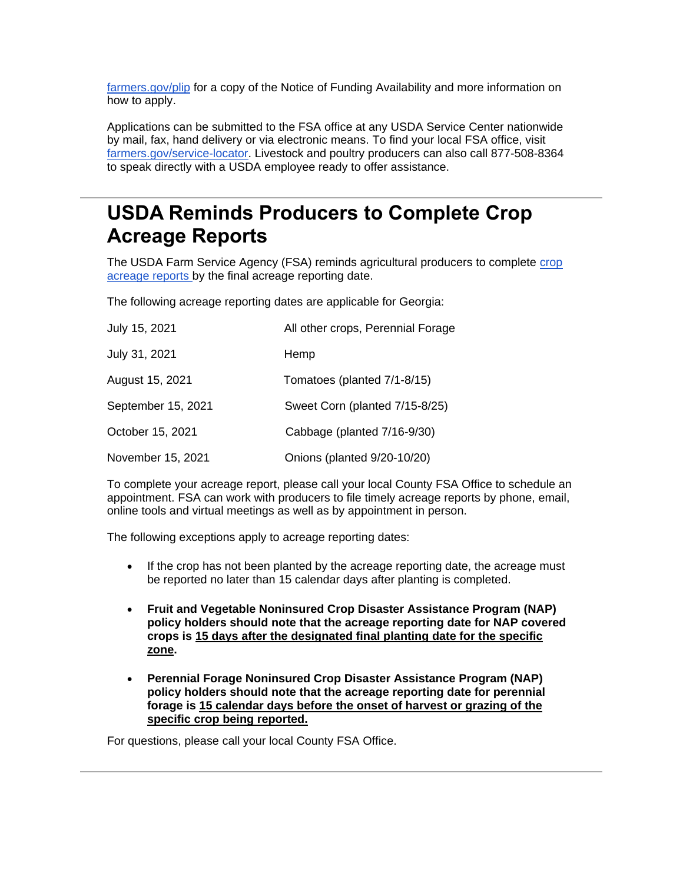[farmers.gov/plip](http://www.farmers.gov/plip?utm_medium=email&utm_source=govdelivery) for a copy of the Notice of Funding Availability and more information on how to apply.

Applications can be submitted to the FSA office at any USDA Service Center nationwide by mail, fax, hand delivery or via electronic means. To find your local FSA office, visit [farmers.gov/service-locator.](http://www.farmers.gov/service-locator?utm_medium=email&utm_source=govdelivery) Livestock and poultry producers can also call 877-508-8364 to speak directly with a USDA employee ready to offer assistance.

# <span id="page-3-0"></span>**USDA Reminds Producers to Complete Crop Acreage Reports**

The USDA Farm Service Agency (FSA) reminds agricultural producers to complete crop [acreage reports](https://www.farmers.gov/crop-acreage-reports?utm_medium=email&utm_source=govdelivery) by the final acreage reporting date.

The following acreage reporting dates are applicable for Georgia:

| July 15, 2021      | All other crops, Perennial Forage |
|--------------------|-----------------------------------|
| July 31, 2021      | Hemp                              |
| August 15, 2021    | Tomatoes (planted 7/1-8/15)       |
| September 15, 2021 | Sweet Corn (planted 7/15-8/25)    |
| October 15, 2021   | Cabbage (planted 7/16-9/30)       |
| November 15, 2021  | Onions (planted 9/20-10/20)       |

To complete your acreage report, please call your local County FSA Office to schedule an appointment. FSA can work with producers to file timely acreage reports by phone, email, online tools and virtual meetings as well as by appointment in person.

The following exceptions apply to acreage reporting dates:

- If the crop has not been planted by the acreage reporting date, the acreage must be reported no later than 15 calendar days after planting is completed.
- **Fruit and Vegetable Noninsured Crop Disaster Assistance Program (NAP) policy holders should note that the acreage reporting date for NAP covered crops is 15 days after the designated final planting date for the specific zone.**
- **Perennial Forage Noninsured Crop Disaster Assistance Program (NAP) policy holders should note that the acreage reporting date for perennial forage is 15 calendar days before the onset of harvest or grazing of the specific crop being reported.**

For questions, please call your local County FSA Office.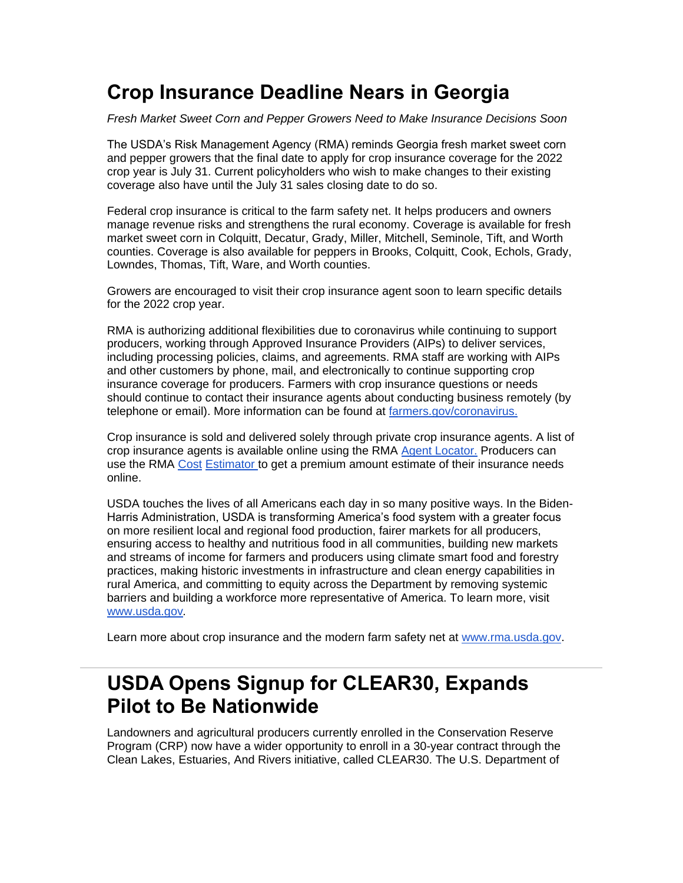# <span id="page-4-0"></span>**Crop Insurance Deadline Nears in Georgia**

*Fresh Market Sweet Corn and Pepper Growers Need to Make Insurance Decisions Soon*

The USDA's Risk Management Agency (RMA) reminds Georgia fresh market sweet corn and pepper growers that the final date to apply for crop insurance coverage for the 2022 crop year is July 31. Current policyholders who wish to make changes to their existing coverage also have until the July 31 sales closing date to do so.

Federal crop insurance is critical to the farm safety net. It helps producers and owners manage revenue risks and strengthens the rural economy. Coverage is available for fresh market sweet corn in Colquitt, Decatur, Grady, Miller, Mitchell, Seminole, Tift, and Worth counties. Coverage is also available for peppers in Brooks, Colquitt, Cook, Echols, Grady, Lowndes, Thomas, Tift, Ware, and Worth counties.

Growers are encouraged to visit their crop insurance agent soon to learn specific details for the 2022 crop year.

RMA is authorizing additional flexibilities due to coronavirus while continuing to support producers, working through Approved Insurance Providers (AIPs) to deliver services, including processing policies, claims, and agreements. RMA staff are working with AIPs and other customers by phone, mail, and electronically to continue supporting crop insurance coverage for producers. Farmers with crop insurance questions or needs should continue to contact their insurance agents about conducting business remotely (by telephone or email). More information can be found at [farmers.gov/coronavirus.](https://www.farmers.gov/coronavirus?utm_medium=email&utm_source=govdelivery)

Crop insurance is sold and delivered solely through private crop insurance agents. A list of crop insurance agents is available online using the RMA [Agent Locator.](https://gcc02.safelinks.protection.outlook.com/?data=02%7C01%7C%7C5de74257d86e4580561008d7c5115cb9%7Ced5b36e701ee4ebc867ee03cfa0d4697%7C0%7C0%7C637194550674750426&reserved=0&sdata=yZ62hwij4Vagey9UitSqyf0bDTPEpBp%2F3Yq%2BM7rTQVs%3D&url=https%3A%2F%2Frma.usda.gov%2FInformation-Tools%2FAgent-Locator-Page%3Futm_medium%3Demail%26utm_source%3Dgovdelivery&utm_medium=email&utm_source=govdelivery) Producers can use the RMA [Cost](https://gcc02.safelinks.protection.outlook.com/?data=02%7C01%7C%7C021daf070fee4a48a2ff08d7fb4a4af1%7Ced5b36e701ee4ebc867ee03cfa0d4697%7C0%7C0%7C637254168817352867&reserved=0&sdata=cRoyEk63G20zLoajkF91H5TyIwEqspC1FAatBWuEn0E%3D&url=https%3A%2F%2Fewebapp.rma.usda.gov%2Fapps%2Fcostestimator%2F%3Futm_medium%3Demail%26utm_source%3Dgovdelivery&utm_medium=email&utm_source=govdelivery) [Estimator t](https://gcc02.safelinks.protection.outlook.com/?data=02%7C01%7C%7C021daf070fee4a48a2ff08d7fb4a4af1%7Ced5b36e701ee4ebc867ee03cfa0d4697%7C0%7C0%7C637254168817352867&reserved=0&sdata=cRoyEk63G20zLoajkF91H5TyIwEqspC1FAatBWuEn0E%3D&url=https%3A%2F%2Fewebapp.rma.usda.gov%2Fapps%2Fcostestimator%2F%3Futm_medium%3Demail%26utm_source%3Dgovdelivery&utm_medium=email&utm_source=govdelivery)o get a premium amount estimate of their insurance needs online.

USDA touches the lives of all Americans each day in so many positive ways. In the Biden-Harris Administration, USDA is transforming America's food system with a greater focus on more resilient local and regional food production, fairer markets for all producers, ensuring access to healthy and nutritious food in all communities, building new markets and streams of income for farmers and producers using climate smart food and forestry practices, making historic investments in infrastructure and clean energy capabilities in rural America, and committing to equity across the Department by removing systemic barriers and building a workforce more representative of America. To learn more, visit [www.usda.gov](https://www.usda.gov/?utm_medium=email&utm_source=govdelivery)*.*

Learn more about crop insurance and the modern farm safety net at [www.rma.usda.gov.](https://gcc02.safelinks.protection.outlook.com/?url=http%3A%2F%2Fwww.rma.usda.gov%2F%3Futm_medium%3Demail%26utm_source%3Dgovdelivery&data=04%7C01%7C%7Cb76634d001324a9a128b08d94633b28b%7Ced5b36e701ee4ebc867ee03cfa0d4697%7C0%7C1%7C637618010124844054%7CUnknown%7CTWFpbGZsb3d8eyJWIjoiMC4wLjAwMDAiLCJQIjoiV2luMzIiLCJBTiI6Ik1haWwiLCJXVCI6Mn0%3D%7C2000&sdata=7xMo2vb%2BBcX20h8YpA4Yg0yswKb7IIWbjT6OG6zJ8Dw%3D&reserved=0)

## <span id="page-4-1"></span>**USDA Opens Signup for CLEAR30, Expands Pilot to Be Nationwide**

Landowners and agricultural producers currently enrolled in the Conservation Reserve Program (CRP) now have a wider opportunity to enroll in a 30-year contract through the Clean Lakes, Estuaries, And Rivers initiative, called CLEAR30. The U.S. Department of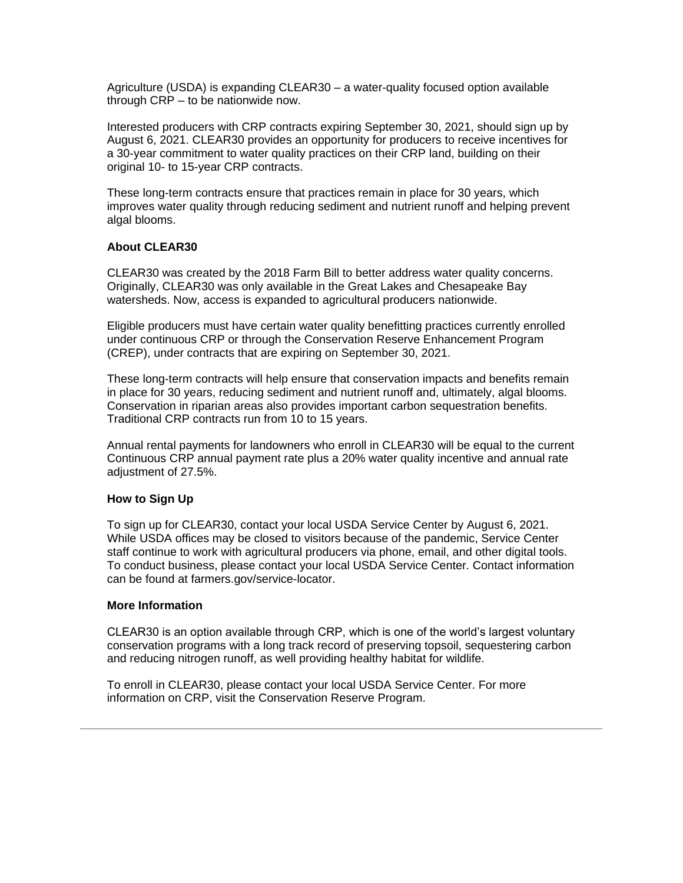Agriculture (USDA) is expanding CLEAR30 – a water-quality focused option available through CRP – to be nationwide now.

Interested producers with CRP contracts expiring September 30, 2021, should sign up by August 6, 2021. CLEAR30 provides an opportunity for producers to receive incentives for a 30-year commitment to water quality practices on their CRP land, building on their original 10- to 15-year CRP contracts.

These long-term contracts ensure that practices remain in place for 30 years, which improves water quality through reducing sediment and nutrient runoff and helping prevent algal blooms.

#### **About CLEAR30**

CLEAR30 was created by the 2018 Farm Bill to better address water quality concerns. Originally, CLEAR30 was only available in the Great Lakes and Chesapeake Bay watersheds. Now, access is expanded to agricultural producers nationwide.

Eligible producers must have certain water quality benefitting practices currently enrolled under continuous CRP or through the Conservation Reserve Enhancement Program (CREP), under contracts that are expiring on September 30, 2021.

These long-term contracts will help ensure that conservation impacts and benefits remain in place for 30 years, reducing sediment and nutrient runoff and, ultimately, algal blooms. Conservation in riparian areas also provides important carbon sequestration benefits. Traditional CRP contracts run from 10 to 15 years.

Annual rental payments for landowners who enroll in CLEAR30 will be equal to the current Continuous CRP annual payment rate plus a 20% water quality incentive and annual rate adjustment of 27.5%.

#### **How to Sign Up**

To sign up for CLEAR30, contact your local USDA Service Center by August 6, 2021. While USDA offices may be closed to visitors because of the pandemic, Service Center staff continue to work with agricultural producers via phone, email, and other digital tools. To conduct business, please contact your local USDA Service Center. Contact information can be found at farmers.gov/service-locator.

#### **More Information**

CLEAR30 is an option available through CRP, which is one of the world's largest voluntary conservation programs with a long track record of preserving topsoil, sequestering carbon and reducing nitrogen runoff, as well providing healthy habitat for wildlife.

To enroll in CLEAR30, please contact your local USDA Service Center. For more information on CRP, visit the Conservation Reserve Program.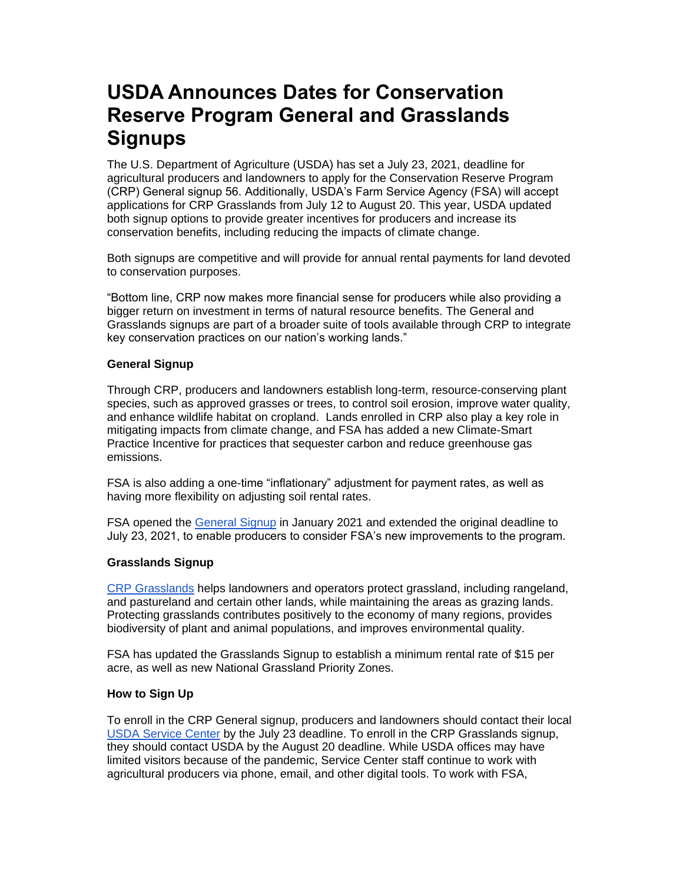# <span id="page-6-0"></span>**USDA Announces Dates for Conservation Reserve Program General and Grasslands Signups**

The U.S. Department of Agriculture (USDA) has set a July 23, 2021, deadline for agricultural producers and landowners to apply for the Conservation Reserve Program (CRP) General signup 56. Additionally, USDA's Farm Service Agency (FSA) will accept applications for CRP Grasslands from July 12 to August 20. This year, USDA updated both signup options to provide greater incentives for producers and increase its conservation benefits, including reducing the impacts of climate change.

Both signups are competitive and will provide for annual rental payments for land devoted to conservation purposes.

"Bottom line, CRP now makes more financial sense for producers while also providing a bigger return on investment in terms of natural resource benefits. The General and Grasslands signups are part of a broader suite of tools available through CRP to integrate key conservation practices on our nation's working lands."

### **General Signup**

Through CRP, producers and landowners establish long-term, resource-conserving plant species, such as approved grasses or trees, to control soil erosion, improve water quality, and enhance wildlife habitat on cropland. Lands enrolled in CRP also play a key role in mitigating impacts from climate change, and FSA has added a new Climate-Smart Practice Incentive for practices that sequester carbon and reduce greenhouse gas emissions.

FSA is also adding a one-time "inflationary" adjustment for payment rates, as well as having more flexibility on adjusting soil rental rates.

FSA opened the [General Signup](https://gcc02.safelinks.protection.outlook.com/?url=https%3A%2F%2Fwww.fsa.usda.gov%2FAssets%2FUSDA-FSA-Public%2Fusdafiles%2FFactSheets%2Fcrp-general-enrollment-signup_factsheet.pdf%3Futm_medium%3Demail%26utm_source%3Dgovdelivery&data=04%7C01%7C%7Cb76634d001324a9a128b08d94633b28b%7Ced5b36e701ee4ebc867ee03cfa0d4697%7C0%7C1%7C637618010124854007%7CUnknown%7CTWFpbGZsb3d8eyJWIjoiMC4wLjAwMDAiLCJQIjoiV2luMzIiLCJBTiI6Ik1haWwiLCJXVCI6Mn0%3D%7C2000&sdata=EEvr18isI7%2B4e1Na3OohtQ9sAv2un85%2Bz8RpN8Og7zE%3D&reserved=0) in January 2021 and extended the original deadline to July 23, 2021, to enable producers to consider FSA's new improvements to the program.

### **Grasslands Signup**

[CRP Grasslands](https://gcc02.safelinks.protection.outlook.com/?data=04%7C01%7C%7Cb7688db1ac5f49bfcb2d08d92cf10601%7Ced5b36e701ee4ebc867ee03cfa0d4697%7C0%7C0%7C637590235992028341%7CUnknown%7CTWFpbGZsb3d8eyJWIjoiMC4wLjAwMDAiLCJQIjoiV2luMzIiLCJBTiI6Ik1haWwiLCJXVCI6Mn0%3D%7C1000&reserved=0&sdata=fyvT24n8DcKsDQ7VapThnsy0deUk3a3MFB8X70m4JpE%3D&url=https%3A%2F%2Fwww.fsa.usda.gov%2FAssets%2FUSDA-FSA-Public%2Fusdafiles%2FFactSheets%2Fcrp-grasslands-signup_fact-sheet.pdf%3Futm_medium%3Demail%26utm_source%3Dgovdelivery&utm_medium=email&utm_source=govdelivery) helps landowners and operators protect grassland, including rangeland, and pastureland and certain other lands, while maintaining the areas as grazing lands. Protecting grasslands contributes positively to the economy of many regions, provides biodiversity of plant and animal populations, and improves environmental quality.

FSA has updated the Grasslands Signup to establish a minimum rental rate of \$15 per acre, as well as new National Grassland Priority Zones.

### **How to Sign Up**

To enroll in the CRP General signup, producers and landowners should contact their local [USDA Service Center](https://offices.sc.egov.usda.gov/locator/app?utm_medium=email&utm_source=govdelivery) by the July 23 deadline. To enroll in the CRP Grasslands signup, they should contact USDA by the August 20 deadline. While USDA offices may have limited visitors because of the pandemic, Service Center staff continue to work with agricultural producers via phone, email, and other digital tools. To work with FSA,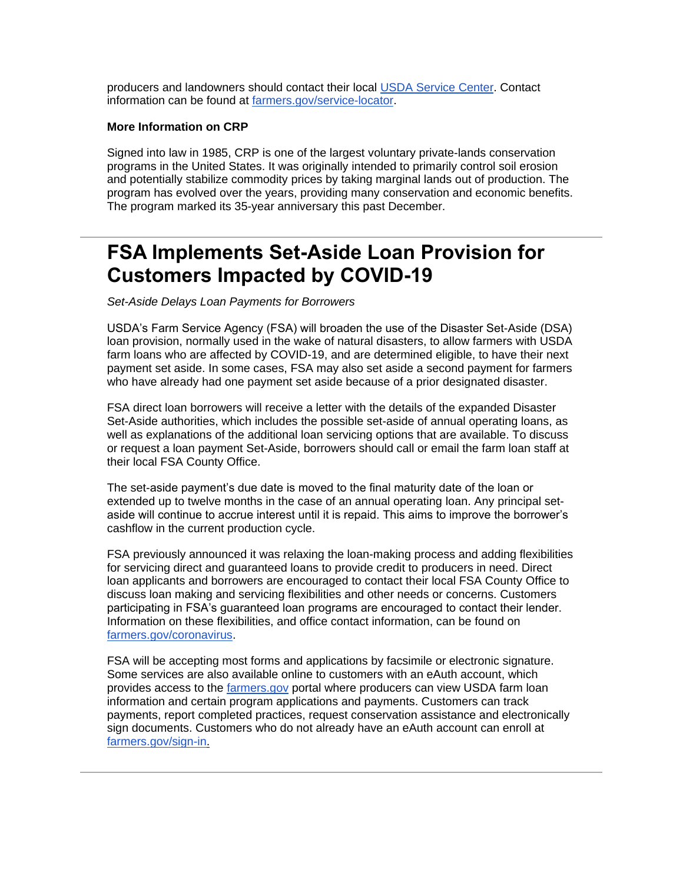producers and landowners should contact their local [USDA Service Center.](https://offices.sc.egov.usda.gov/locator/app?utm_medium=email&utm_source=govdelivery) Contact information can be found at [farmers.gov/service-locator.](https://www.farmers.gov/service-center-locator?utm_medium=email&utm_source=govdelivery)

#### **More Information on CRP**

Signed into law in 1985, CRP is one of the largest voluntary private-lands conservation programs in the United States. It was originally intended to primarily control soil erosion and potentially stabilize commodity prices by taking marginal lands out of production. The program has evolved over the years, providing many conservation and economic benefits. The program marked its 35-year anniversary this past December.

## <span id="page-7-0"></span>**FSA Implements Set-Aside Loan Provision for Customers Impacted by COVID-19**

*Set-Aside Delays Loan Payments for Borrowers*

USDA's Farm Service Agency (FSA) will broaden the use of the Disaster Set-Aside (DSA) loan provision, normally used in the wake of natural disasters, to allow farmers with USDA farm loans who are affected by COVID-19, and are determined eligible, to have their next payment set aside. In some cases, FSA may also set aside a second payment for farmers who have already had one payment set aside because of a prior designated disaster.

FSA direct loan borrowers will receive a letter with the details of the expanded Disaster Set-Aside authorities, which includes the possible set-aside of annual operating loans, as well as explanations of the additional loan servicing options that are available. To discuss or request a loan payment Set-Aside, borrowers should call or email the farm loan staff at their local FSA County Office.

The set-aside payment's due date is moved to the final maturity date of the loan or extended up to twelve months in the case of an annual operating loan. Any principal setaside will continue to accrue interest until it is repaid. This aims to improve the borrower's cashflow in the current production cycle.

FSA previously announced it was relaxing the loan-making process and adding flexibilities for servicing direct and guaranteed loans to provide credit to producers in need. Direct loan applicants and borrowers are encouraged to contact their local FSA County Office to discuss loan making and servicing flexibilities and other needs or concerns. Customers participating in FSA's guaranteed loan programs are encouraged to contact their lender. Information on these flexibilities, and office contact information, can be found on [farmers.gov/coronavirus.](http://www.farmers.gov/coronavirus?utm_medium=email&utm_source=govdelivery)

FSA will be accepting most forms and applications by facsimile or electronic signature. Some services are also available online to customers with an eAuth account, which provides access to the [farmers.gov](http://www.farmers.gov/?utm_medium=email&utm_source=govdelivery) portal where producers can view USDA farm loan information and certain program applications and payments. Customers can track payments, report completed practices, request conservation assistance and electronically sign documents. Customers who do not already have an eAuth account can enroll at [farmers.gov/sign-in.](https://www.farmers.gov/sign-in?utm_medium=email&utm_source=govdelivery)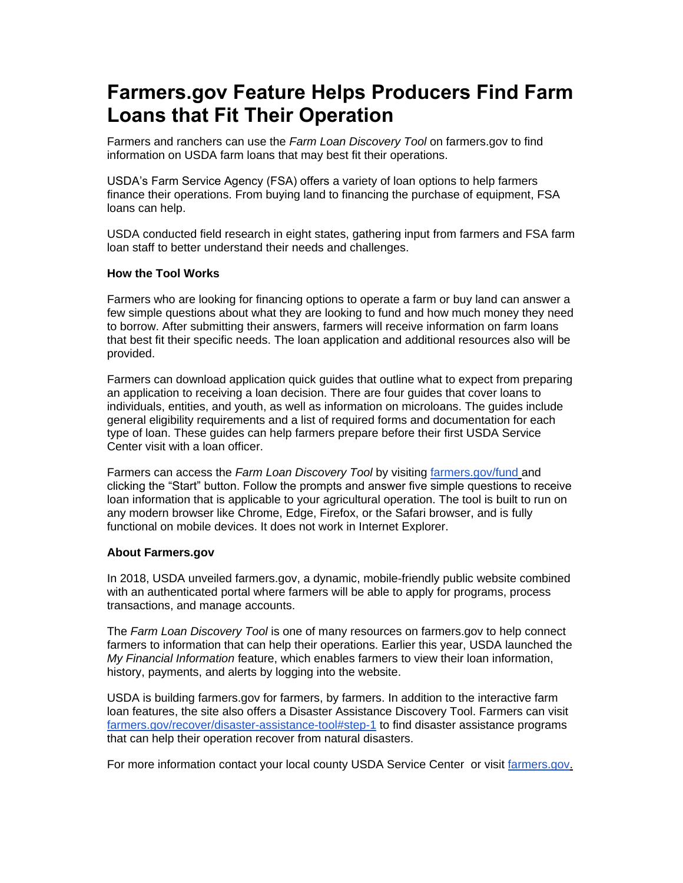# <span id="page-8-0"></span>**Farmers.gov Feature Helps Producers Find Farm Loans that Fit Their Operation**

Farmers and ranchers can use the *Farm Loan Discovery Tool* on farmers.gov to find information on USDA farm loans that may best fit their operations.

USDA's Farm Service Agency (FSA) offers a variety of loan options to help farmers finance their operations. From buying land to financing the purchase of equipment, FSA loans can help.

USDA conducted field research in eight states, gathering input from farmers and FSA farm loan staff to better understand their needs and challenges.

### **How the Tool Works**

Farmers who are looking for financing options to operate a farm or buy land can answer a few simple questions about what they are looking to fund and how much money they need to borrow. After submitting their answers, farmers will receive information on farm loans that best fit their specific needs. The loan application and additional resources also will be provided.

Farmers can download application quick guides that outline what to expect from preparing an application to receiving a loan decision. There are four guides that cover loans to individuals, entities, and youth, as well as information on microloans. The guides include general eligibility requirements and a list of required forms and documentation for each type of loan. These guides can help farmers prepare before their first USDA Service Center visit with a loan officer.

Farmers can access the *Farm Loan Discovery Tool* by visiting [farmers.gov/fund](https://www.farmers.gov/fund?utm_medium=email&utm_source=govdelivery) and clicking the "Start" button. Follow the prompts and answer five simple questions to receive loan information that is applicable to your agricultural operation. The tool is built to run on any modern browser like Chrome, Edge, Firefox, or the Safari browser, and is fully functional on mobile devices. It does not work in Internet Explorer.

### **About Farmers.gov**

In 2018, USDA unveiled farmers.gov, a dynamic, mobile-friendly public website combined with an authenticated portal where farmers will be able to apply for programs, process transactions, and manage accounts.

The *Farm Loan Discovery Tool* is one of many resources on farmers.gov to help connect farmers to information that can help their operations. Earlier this year, USDA launched the *My Financial Information* feature, which enables farmers to view their loan information, history, payments, and alerts by logging into the website.

USDA is building farmers.gov for farmers, by farmers. In addition to the interactive farm loan features, the site also offers a Disaster Assistance Discovery Tool. Farmers can visit [farmers.gov/recover/disaster-assistance-tool#step-1](https://www.farmers.gov/recover/disaster-assistance-tool?utm_medium=email&utm_source=govdelivery#step-1) to find disaster assistance programs that can help their operation recover from natural disasters.

For more information contact your local county USDA Service Center or visit [farmers.gov.](https://www.farmers.gov/?utm_medium=email&utm_source=govdelivery)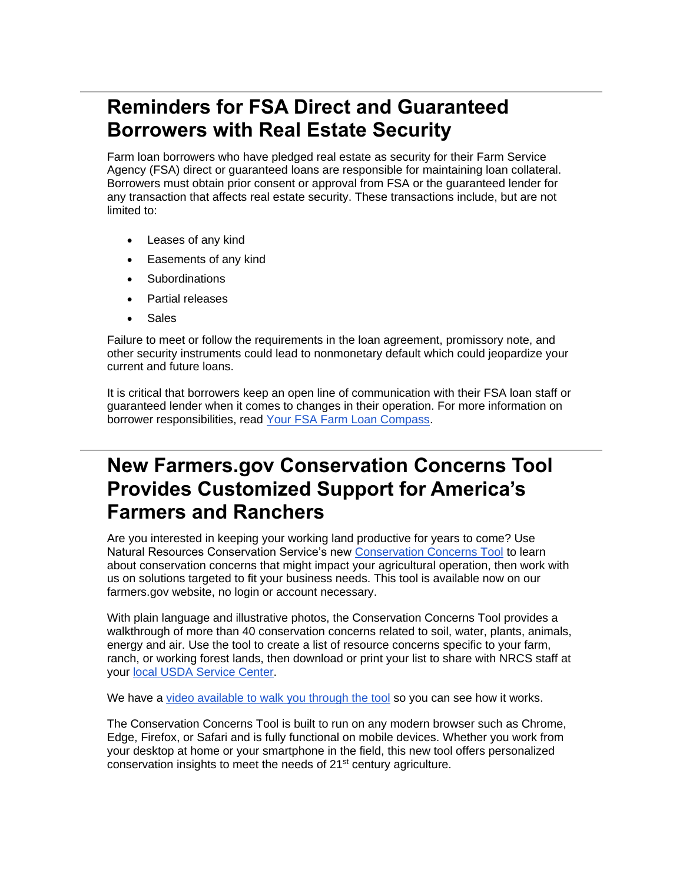# <span id="page-9-0"></span>**Reminders for FSA Direct and Guaranteed Borrowers with Real Estate Security**

Farm loan borrowers who have pledged real estate as security for their Farm Service Agency (FSA) direct or guaranteed loans are responsible for maintaining loan collateral. Borrowers must obtain prior consent or approval from FSA or the guaranteed lender for any transaction that affects real estate security. These transactions include, but are not limited to:

- Leases of any kind
- Easements of any kind
- **Subordinations**
- Partial releases
- **Sales**

Failure to meet or follow the requirements in the loan agreement, promissory note, and other security instruments could lead to nonmonetary default which could jeopardize your current and future loans.

It is critical that borrowers keep an open line of communication with their FSA loan staff or guaranteed lender when it comes to changes in their operation. For more information on borrower responsibilities, read [Your FSA Farm Loan Compass.](https://gcc02.safelinks.protection.outlook.com/?url=https%3A%2F%2Fwww.fsa.usda.gov%2FAssets%2FUSDA-FSA-Public%2Fusdafiles%2FFarm-Loan-Programs%2Fpdfs%2Floan-servicing%2Ffarm_loan_compass_9-22-17.pdf%3Futm_medium%3Demail%26utm_source%3Dgovdelivery&data=04%7C01%7C%7Cb76634d001324a9a128b08d94633b28b%7Ced5b36e701ee4ebc867ee03cfa0d4697%7C0%7C1%7C637618010124854007%7CUnknown%7CTWFpbGZsb3d8eyJWIjoiMC4wLjAwMDAiLCJQIjoiV2luMzIiLCJBTiI6Ik1haWwiLCJXVCI6Mn0%3D%7C2000&sdata=spAbG0Ow9ggexlStjW7G7IsDFocT%2FksAwYcadJvWuz4%3D&reserved=0)

### <span id="page-9-1"></span>**New Farmers.gov Conservation Concerns Tool Provides Customized Support for America's Farmers and Ranchers**

Are you interested in keeping your working land productive for years to come? Use Natural Resources Conservation Service's new [Conservation Concerns Tool](https://www.farmers.gov/conserve/tool?utm_medium=email&utm_source=govdelivery) to learn about conservation concerns that might impact your agricultural operation, then work with us on solutions targeted to fit your business needs. This tool is available now on our farmers.gov website, no login or account necessary.

With plain language and illustrative photos, the Conservation Concerns Tool provides a walkthrough of more than 40 conservation concerns related to soil, water, plants, animals, energy and air. Use the tool to create a list of resource concerns specific to your farm, ranch, or working forest lands, then download or print your list to share with NRCS staff at your [local USDA Service Center.](https://www.farmers.gov/service-center-locator?utm_medium=email&utm_source=govdelivery)

We have a [video available to walk you through the tool](https://gcc02.safelinks.protection.outlook.com/?url=https%3A%2F%2Fyoutu.be%2F9RWteg68ba4%3Futm_medium%3Demail%26utm_source%3Dgovdelivery&data=04%7C01%7C%7Cb76634d001324a9a128b08d94633b28b%7Ced5b36e701ee4ebc867ee03cfa0d4697%7C0%7C1%7C637618010124863985%7CUnknown%7CTWFpbGZsb3d8eyJWIjoiMC4wLjAwMDAiLCJQIjoiV2luMzIiLCJBTiI6Ik1haWwiLCJXVCI6Mn0%3D%7C2000&sdata=tjMgnwXHBDQMTtNLwjcROajZqnlOlMP%2By48teg32MpI%3D&reserved=0) so you can see how it works.

The Conservation Concerns Tool is built to run on any modern browser such as Chrome, Edge, Firefox, or Safari and is fully functional on mobile devices. Whether you work from your desktop at home or your smartphone in the field, this new tool offers personalized conservation insights to meet the needs of 21<sup>st</sup> century agriculture.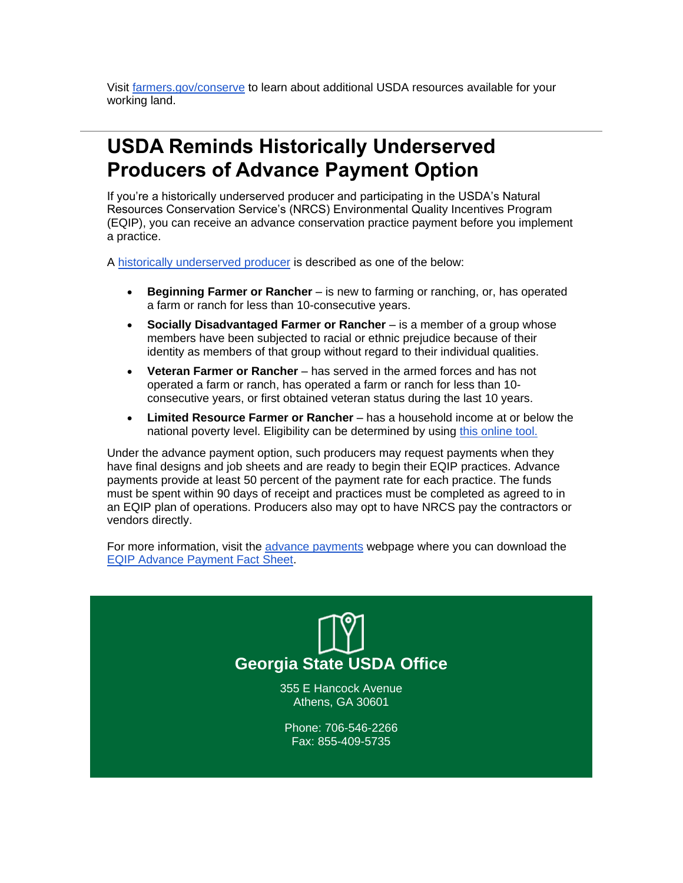Visit [farmers.gov/conserve](https://www.farmers.gov/conserve?utm_medium=email&utm_source=govdelivery) to learn about additional USDA resources available for your working land.

## <span id="page-10-0"></span>**USDA Reminds Historically Underserved Producers of Advance Payment Option**

If you're a historically underserved producer and participating in the USDA's Natural Resources Conservation Service's (NRCS) Environmental Quality Incentives Program (EQIP), you can receive an advance conservation practice payment before you implement a practice.

A [historically underserved producer](https://gcc02.safelinks.protection.outlook.com/?url=https%3A%2F%2Fwww.nrcs.usda.gov%2Fwps%2Fportal%2Fnrcs%2Fmain%2Fnational%2Fpeople%2Foutreach%2Fslbfr%3Futm_medium%3Demail%26utm_source%3Dgovdelivery&data=04%7C01%7C%7Cb76634d001324a9a128b08d94633b28b%7Ced5b36e701ee4ebc867ee03cfa0d4697%7C0%7C1%7C637618010124863985%7CUnknown%7CTWFpbGZsb3d8eyJWIjoiMC4wLjAwMDAiLCJQIjoiV2luMzIiLCJBTiI6Ik1haWwiLCJXVCI6Mn0%3D%7C2000&sdata=d0P60Kjm0sUWM0QJ3jB2sIdZ%2BXqLwqBkJbx6%2B2SX8bI%3D&reserved=0) is described as one of the below:

- **Beginning Farmer or Rancher** is new to farming or ranching, or, has operated a farm or ranch for less than 10-consecutive years.
- **Socially Disadvantaged Farmer or Rancher** is a member of a group whose members have been subjected to racial or ethnic prejudice because of their identity as members of that group without regard to their individual qualities.
- **Veteran Farmer or Rancher**  has served in the armed forces and has not operated a farm or ranch, has operated a farm or ranch for less than 10 consecutive years, or first obtained veteran status during the last 10 years.
- **Limited Resource Farmer or Rancher** has a household income at or below the national poverty level. Eligibility can be determined by using [this online tool.](https://lrftool.sc.egov.usda.gov/?utm_medium=email&utm_source=govdelivery)

Under the advance payment option, such producers may request payments when they have final designs and job sheets and are ready to begin their EQIP practices. Advance payments provide at least 50 percent of the payment rate for each practice. The funds must be spent within 90 days of receipt and practices must be completed as agreed to in an EQIP plan of operations. Producers also may opt to have NRCS pay the contractors or vendors directly.

For more information, visit the [advance payments](https://gcc02.safelinks.protection.outlook.com/?url=https%3A%2F%2Fwww.nrcs.usda.gov%2Fwps%2Fportal%2Fnrcs%2Fdetail%2Fnational%2Fprograms%2Ffinancial%2Feqip%2F%3Fcid%3Dnrcseprd1502414%26utm_medium%3Demail%26utm_source%3Dgovdelivery&data=04%7C01%7C%7Cb76634d001324a9a128b08d94633b28b%7Ced5b36e701ee4ebc867ee03cfa0d4697%7C0%7C1%7C637618010124873919%7CUnknown%7CTWFpbGZsb3d8eyJWIjoiMC4wLjAwMDAiLCJQIjoiV2luMzIiLCJBTiI6Ik1haWwiLCJXVCI6Mn0%3D%7C2000&sdata=EN4zWTpqphC2WvBHqRBbp0HnMxUL%2Bd3GUYqNdGc9UNs%3D&reserved=0) webpage where you can download the [EQIP Advance Payment Fact Sheet.](https://gcc02.safelinks.protection.outlook.com/?url=https%3A%2F%2Fwww.nrcs.usda.gov%2Fwps%2FPA_NRCSConsumption%2Fdownload%3Fcid%3Dnrcseprd1504014%26ext%3Dpdf%26utm_medium%3Demail%26utm_source%3Dgovdelivery&data=04%7C01%7C%7Cb76634d001324a9a128b08d94633b28b%7Ced5b36e701ee4ebc867ee03cfa0d4697%7C0%7C1%7C637618010124873919%7CUnknown%7CTWFpbGZsb3d8eyJWIjoiMC4wLjAwMDAiLCJQIjoiV2luMzIiLCJBTiI6Ik1haWwiLCJXVCI6Mn0%3D%7C2000&sdata=tkUzpsrUhByHF2E1UwUm69qOB%2Fsec795s4E%2Bwcnl9tk%3D&reserved=0)